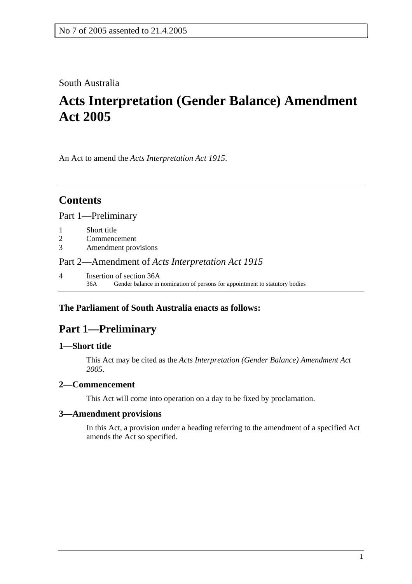### South Australia

# **Acts Interpretation (Gender Balance) Amendment Act 2005**

An Act to amend the *Acts Interpretation Act 1915*.

# **Contents**

Part 1—Preliminary

- 1 Short title
- 2 Commencement
- 3 Amendment provisions

#### Part 2—Amendment of *Acts Interpretation Act 1915*

4 Insertion of section 36A 36A Gender balance in nomination of persons for appointment to statutory bodies

### **The Parliament of South Australia enacts as follows:**

## **Part 1—Preliminary**

#### **1—Short title**

This Act may be cited as the *Acts Interpretation (Gender Balance) Amendment Act 2005*.

#### **2—Commencement**

This Act will come into operation on a day to be fixed by proclamation.

#### **3—Amendment provisions**

In this Act, a provision under a heading referring to the amendment of a specified Act amends the Act so specified.